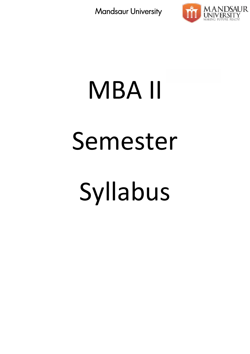

# MBA II Semester Syllabus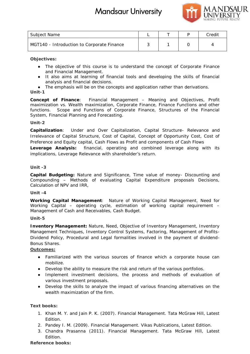

| Subject Name                               |  | Credit |
|--------------------------------------------|--|--------|
| MGT140 - Introduction to Corporate Finance |  |        |

**Objectives:**

The objective of this course is to understand the concept of Corporate Finance and Financial Management.

It also aims at learning of financial tools and developing the skills of financial analysis and financial decisions.

The emphasis will be on the concepts and application rather than derivations.

**Unit-1**

*Concept of Finance*: Financial Management – Meaning and Objectives, Profit maximization vs. Wealth maximization, Corporate Finance, Finance Functions and other functions. Scope and Functions of Corporate Finance, Structures of the Financial System, Financial Planning and Forecasting.

#### **Unit-2**

*Capitalization*: Under and Over Capitalization, Capital Structure- Relevance and Irrelevance of Capital Structure, Cost of Capital, Concept of Opportunity Cost, Cost of Preference and Equity capital, Cash Flows as Profit and components of Cash Flows *Leverage Analysis:* financial, operating and combined leverage along with its implications, Leverage Relevance with shareholder's return. of Finance: Financial Management – Meaning and Objectives, Profit<br>ion vs. Wealth maximization, Corporate Finance, Finance Functions and other<br>Scope and Functions of Corporate Finance, Structures of the Financial<br>nancial Pl Et Name<br>
Cristian Composite in the source is to understand the concept of Corporate Finance<br>
Cristian Medicine of this course is to understand the concept of Corporate Finance<br>
and Financel Metaponent Transicial Loois and

#### **Unit -3**

*Capital Budgeting***:** Nature and Significance, Time value of money- Discounting and Capital Budgeting: Nature and Significance, Time value of money- Discounting and<br>Compounding – Methods of evaluating Capital Expenditure proposals Decisions, Calculation of NPV and IRR,

#### **Unit -4**

*Working Capital Management*: Nature of Working Capital Management, Need for Working Capital – operating cycle, estimation of working capital requirement – Management of Cash and Receivables, Cash Budget. Capital Management: Nature of Working Capital Management, Need for<br>Capital – operating cycle, estimation of working capital requirement –<br>ent of Cash and Receivables, Cash Budget.<br>y Management: Nature, Need, Objective of I

#### **Unit-5**

*Inventory Management:* Nature, Need, Objective of Inventory Management, Inventory Management Techniques, Inventory Control Systems, Factoring, Management of Profits- Dividend Policy, Procedural and Legal formalities involved in the payment of dividend- Bonus Shares.

#### **Outcomes:**

Familiarized with the various sources of finance which a corporate house can mobilize. Procedural and Legal formalities involved in the payment of dividend-<br>ed with the various sources of finance which a corporate house can<br>ne ability to measure the risk and return of the various portfolios.<br>t investment dec

Develop the ability to measure the risk and return of the various portfolios.

Implement investment decisions, the process and methods of evaluation of various investment proposals.

Develop the skills to analyze the impact of various financing alternatives on the wealth maximization of the firm.

**Text books: books:**

- 1. Khan M. Y. and Jain P. K. (2007). Financial Management. Tata McGraw Hill, Latest Edition.
- 2. Pandey I. M. (2009). Financial Management. Vikas Publications, Latest Edition.
- 3. Chandra Prasanna (2011). Financial Management. Tata McGraw Hill, Latest Edition.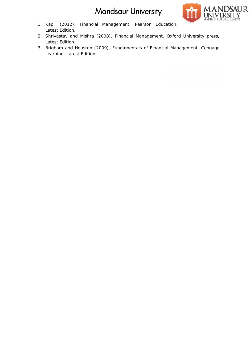

- 1. Kapil (2012). Financial Management. Pearson Education, Latest Edition.
- 2. Shrivastav and Mishra (2008). Financial Management. Oxford University press, Latest Edition.
- 3. Brigham and Houston (2009). Fundamentals of Financial Management. Cengage Learning, Latest Edition.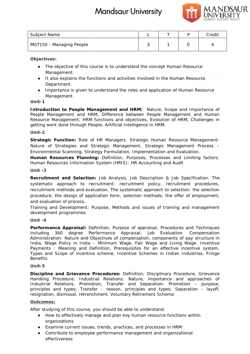

| Subject Name             |  | Credit |
|--------------------------|--|--------|
| MGT150 - Managing People |  |        |

**Objectives:**

The objective of this course is to understand the concept Human Resource Management.

It also explains the functions and activities involved in the Human Resource Department. The objective of this course is to understand<br>Management.<br>It also explains the functions and activities in<br>Department.<br>Importance is given to understand the roles a

Importance is given to understand the roles and application of Human Resource Management.

**Unit-1**

*Introduction to People Management and HRM:* Nature, Scope and Importance of People Management and HRM, Difference between People Management and Human Introduction to People Management and HRM: Nature, Scope and Importance of<br>People Management and HRM, Difference between People Management and Human<br>Resource Management; HRM functions and objectives, Evolution of HRM, Cha getting work done through People, Artificial Intelligence in HRM. example of this course is thent.<br>
plains the functions are<br>
ent.<br>
ce is given to understand<br>
ent.<br>
Decople Manageme<br>
ment and HRM, Diffe<br>
ement; HRM function<br>
et through People, Art<br>
tion: Role of HR Ma<br>
regies and Strateg

#### **Unit-2**

*Strategic Function:* Role of HR Managers. Strategic Human Resource Management: Nature of Strategies and Strategic Management, Strategic Management Process – Environmental Scanning, Strategy Formulation, Implementation and Evaluation. HR Managers. Strategic Human Resource Management:<br>rategic Management, Strategic Management Process –<br>egy Formulation, Implementation and Evaluation.<br>3: Definition, Purposes, Processes and Limiting factors;<br>System (HRIS): H

*Human Resources Planning:* Definition, Purposes, Processes and Limiting factors; Human Resources Information System (HRIS): HR Accounting and Audit

#### **Unit -3**

*Recruitment and Selection:* Job Analysis, Job Description & Job Specification. The systematic approach to recruitment: recruitment policy, recruitment procedures, recruitment methods and evaluation. The systematic approach to selection: the selection procedure, the design of application form, selection methods, the offer of employment, and evaluation of process. and Selection: Job Analysis, Job Description & Job Specification. The<br>proach to recruitment: recruitment policy, recruitment procedures,<br>ethods and evaluation. The systematic approach to selection: the selection<br>design of -3<br>uitma<br>itm<br>edu<br>eva<br>ing<br>op

Training and Development: Purpose, Methods and issues of training and management development programmes.

**Unit -4**

*Performance Appraisal:* Definition, Purpose of appraisal, Procedures and Techniques including 360 degree Performance Appraisal, Job Evaluation. Compensation Administration: Nature and Objectives of compensation, components of pay structure in India, Wage Policy in India – Minimum Wage, Fair Wage and Living Wage. Incentive Payments : Meaning and Definition, Prerequisites for an effective incentive system, Payments : Meaning and Definition, Prerequisites for an effective incentive system,<br>Types and Scope of incentive scheme, Incentive Schemes in Indian Industries, Fringe Benefits. development programmes.<br>Unit -4<br>Performance Appraisal: Definition, Purpose of appraisal, Procedures and Techniques<br>including 360 degree Performance Appraisal, Job Evaluation. Compensation<br>Administration: Nature and Objecti

#### **Unit-5**

*Discipline and Grievance Procedures:* Definition, Disciplinary Procedure, Grievance Procedure, Handling Procedure. Industrial Relations: Nature, importance and approaches of Industrial Relations. Promotion, Transfer and Separation: Promotion – purpose, Handling Procedure. Industrial Relations: Nature, importance and approaches of<br>Industrial Relations. Promotion, Transfer and Separation: Promotion – purpose,<br>principles and types; Transfer – reason, principles and types; S resignation, dismissal, retrenchment, Voluntary Retirement Scheme.

#### **Outcomes:**

After studying of this course, you should be able to understand:

How to effectively manage and plan key human resource functions within organizations

Examine current issues, trends, practices, and processes in HRM Examine Contribute to employee performance management and organizational effectiveness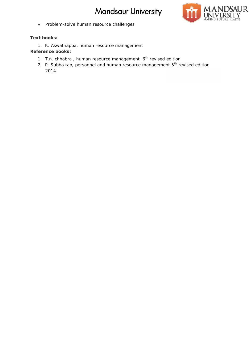

Problem-solve human resource challenges

**Text books: books:**

1. K. Aswathappa, human resource management K. Aswathappa, management**Reference books:**

- 1. T.n. chhabra, human resource management 6<sup>th</sup> revised edition
- 1. T.n. chhabra , human resource management 6<sup>th</sup> revised edition<br>2. P. Subba rao, personnel and human resource management 5<sup>th</sup> revised edition 2014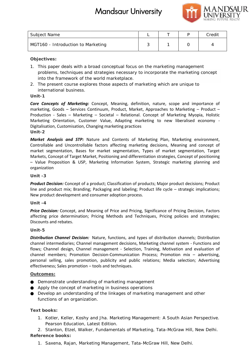

| Subject Name                       |  | Credit |
|------------------------------------|--|--------|
| MGT160 - Introduction to Marketing |  |        |

**Objectives:**

- 1. This paper deals with a broad conceptual focus on the marketing management problems, techniques and strategies necessary to incorporate the marketing concept<br>into the framework of the world marketplace. into the framework of the world marketplace.
- 2. The present course explores those aspects of marketing which are unique to international business. business.

#### **Unit-1**

**Core Concepts of Marketing:** Concept, Meaning, definition, nature, scope and importance of marketing, Goods – Services Continuum, Product, Market, Approaches to Marketing – Product – Production - Sales – Marketing – Societal – Relational. Concept of Marketing Myopia, Holistic Marketing Orientation, Customer Value, Adapting marketing to new liberalised economy - Digitalisation, Customisation, Changing marketing practices **Unit-2** marketing, Goods – Services Continuum, Product, Market, Approaches to Marketing – Product –<br>Production - Sales – Marketing – Societal – Relational. Concept of Marketing Myopia, Holistic<br>Marketing Orientation, Customer Valu

*Market Analysis and STP:* Nature and Contents of Marketing Plan, Marketing environment, Controllable and Uncontrollable factors affecting marketing decisions, Meaning and concept of market segmentation, Bases for market segmentation, Types of market segmentation, Target Markets, Concept of Target Market, Positioning and differentiation strategies, Concept of positioning – Value Proposition & USP, Marketing Information System, Strategic marketing planning and organization Hill Marine<br>
Solen Introduction to Murketing<br>
Critics:<br>
Interaction of the interaction of the interactions of the marketing management<br>
Critics:<br>
Interactions, technology and strategies meassay to location the marketing co

#### **Unit -3**

*Product Decision:* Concept of a product; Classification of products; Major product decisions; Product Product Decision: Concept of a product; Classification of products; Major product decisions; Product<br>line and product mix; Branding; Packaging and labeling; Product life cycle – strategic implications; New product development and consumer adoption process.

#### **Unit -4**

*Price Decision:* Concept, and Meaning of Price and Pricing, Significance of Pricing Decision, Factors affecting price determination; Pricing Methods and Techniques, Pricing policies and strategies; Discounts and rebates. sion: Concept, and Meaning of Price and Pricing, Significance of Pricing D<br>price determination; Pricing Methods and Techniques, Pricing policies<br>and rebates.

#### **Unit-5**

*Distribution Channel Decision:* Nature, functions, and types of distribution channels; Distribution channel intermediaries; Channel management decisions, Marketing channel system - Functions and flows; Channel design, Channel management - Selection, Training, Motivation and evaluation of channel members; Promotion Decision-Communication Process; Promotion mix – advertising, personal selling, sales promotion, publicity and public relations; Media selection; Advertising effectiveness; Sales promotion – tools and techniques. Sales promotion**Decision:** Nature, functions, and types of distribution channels; Distribution s; Channel management decisions, Marketing channel system - Functions and n, Channel management - Selection, Training, Motivation and evaluati

#### **Outcomes:**

Demonstrate understanding of marketing management Demonstrate understanding of marketing management<br>Apply the concept of marketing in business operations Develop an understanding of the linkages of marketing management and other functions of an organization.

#### **Text books: books:**

1. Kotler, Keller, Koshy and Jha. Marketing Management: A South Asian Perspective.<br>Pearson Education, Latest Edition. Pearson Education, Latest Edition.

2. Stanton, Etzel, Walker, Fundamentals of Marketing, Tata-McGraw Hill, New Delhi. **Reference books:**

1. Saxena, Rajan, Marketing Management, Tata-McGraw Hill, New Delhi.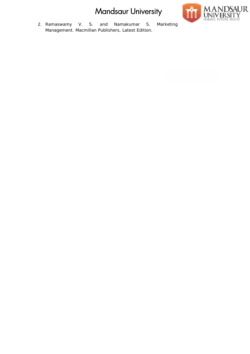

2. Ramaswamy V. S. and Namakumar S. Marketing Management. Macmillan Publishers, Latest Edition.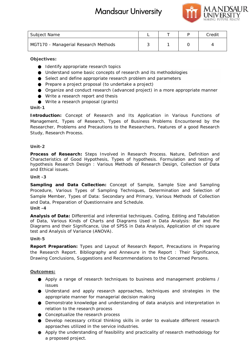![](_page_7_Picture_1.jpeg)

| Subject Name                         |  | Credit |
|--------------------------------------|--|--------|
| MGT170 - Managerial Research Methods |  |        |

**Objectives:**

Identify appropriate research topics Understand some basic concepts of research and its methodologies Understand some basic concepts of research and its methodologies<br>Select and define appropriate research problem and parameters Prepare a project proposal (to undertake a project) Organize and conduct research (advanced project) in a more appropriate manner Write a research report and thesis Write a research proposal (grants) 70 - Managerial Research Methods<br>
Lives:<br>
Lives:<br>
Livestical<br>
Livestical<br>
Understand some basic concepts of research and its method<br>
Select and define appropriate research topics<br>
Direct and define appropriate research pro

**Unit-1**

*Introduction:* Concept of Research and Its Application in Various Functions of Management, Types of Research, Types of Business Problems Encountered by the Researcher, Problems and Precautions to the Researchers, Features of a good Research Study, Research Process. induct research (advanced project) in a more appropriate manner<br>
in proposal (grants)<br>
pt of Research and Its Application in Various Functions of<br>
pf Research, Types of Business Problems Encountered by the<br>
and Precautions

#### **Unit-2**

*Process of Research:* Steps Involved in Research Process. Nature, Definition and Characteristics of Good Hypothesis, Types of hypothesis. Formulation and testing of hypothesis Research Design : Various Methods of Research Design, Collection of Data and Ethical issues.

#### **Unit -3**

*Sampling and Data Collection:* Concept of Sample, Sample Size and Sampling Procedure, Various Types of Sampling Techniques, Determination and Selection of Sampling and Data Collection: Concept of Sample, Sample Size and Sampling<br>Procedure, Various Types of Sampling Techniques, Determination and Selection of<br>Sample Member, Types of Data: Secondary and Primary, Various Methods and Data, Preparation of Questionnaire and Schedule. **Unit -4**

*Analysis of Data:* Differential and inferential techniques. Coding, Editing and Tabulation of Data, Various Kinds of Charts and Diagrams Used in Data Analysis: Bar and Pie Diagrams and their Significance, Use of SPSS in Data Analysis, Application of chi square test and Analysis of Variance (ANOVA). of Data, Various Kinds of Charts and Diagrams Used in Data Analysis: Bar and Pie<br>Diagrams and their Significance, Use of SPSS in Data Analysis, Application of chi square<br>test and Analysis of Variance (ANOVA).<br>Unit-5

#### **Unit-5**

*Report Preparation:* Types and Layout of Research Report, Precautions in Preparing the Research Report. Bibliography and Annexure in the Report : Their Significance, Drawing Conclusions, Suggestions and Recommendations to the Concerned Persons.

#### **Outcomes:**

Apply a range of research techniques to business and management problems / issues search Report. Bibliography and Annexure in the Report : Their Significance,<br>g Conclusions, Suggestions and Recommendations to the Concerned Persons.<br>res:<br>Apply a range of research techniques to business and management pro

Understand and apply research approaches, techniques and strategies in the appropriate manner for managerial decision making

Demonstrate knowledge and understanding of data analysis and interpretation in relation to the research process

Conceptualize the research process

Develop necessary critical thinking skills in order to evaluate different research approaches utilized in the service industries.

Apply the understanding of feasibility and practicality of research methodology for a proposed project. Develop necessary critical thinking skills in order to<br>approaches utilized in the service industries.<br>Apply the understanding of feasibility and practicality<br>a proposed project.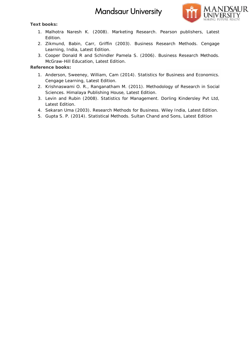![](_page_8_Picture_1.jpeg)

**Text books: books:**

- 1. Malhotra Naresh K. (2008). Marketing Research. Pearson publishers, Latest Research. Edition.
- 2. Zikmund, Babin, Carr, Griffin (2003). Business Research Methods. Cengage Learning, India, Latest Edition. Learning, India, Latest Edition.<br>3. Cooper Donald R and Schindler Pamela S. (2006). Business Research Methods.
- McGraw-Hill Education, Latest Edition.

- 1. Anderson, Sweeney, William, Cam (2014). Statistics for Business and Economics. Cengage Learning, Latest Edition.
- 2. Krishnaswami O. R., Ranganatham M. (2011). Methodology of Research in Social Krishnaswami O. R., Ranganatham M. (2011). Methodolo<br>Sciences. Himalaya Publishing House, Latest Edition.
- 3. Levin and Rubin (2008). Statistics for Management. Dorling Kindersley Pvt Ltd, Latest Edition.
- 4. Sekaran Uma (2003). Research Methods for Business. Wiley India, Latest Edition.
- 5. Gupta S. P. (2014). Statistical Methods. Sultan Chand and Sons, Latest Edition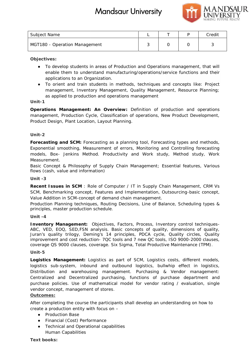![](_page_9_Picture_1.jpeg)

| Subject Name                  |  | Credit |
|-------------------------------|--|--------|
| MGT180 - Operation Management |  |        |

**Objectives:**

To develop students in areas of Production and Operations management, that will enable them to understand manufacturing/operations/service functions and their applications to an Organization.

To orient and train students in methods, techniques and concepts like: Project management, Inventory Management, Quality Management, Resource Planning; as applied to production and operations management

**Unit-1**

*Operations Management: An Overview:* Definition of production and operations management, Production Cycle, Classification of operations, New Product Development, Product Design, Plant Location, Layout Planning. in a develop students in areas of Production and Operations management, that will<br>nable them to understand manufacturing/operations/service functions and their<br>pplications to an Organization.<br>io orient and train students i

#### **Unit-2**

Forecasting and SCM: Forecasting as a planning tool, Forecasting types and methods, Exponential smoothing, Measurement of errors, Monitoring and Controlling forecasting models, Box- Jenkins Method. Productivity and Work study, Method study, Work Measurement. ement of errors, Monitoring and Controlling<br>Productivity and Work study, Method st<br>Supply Chain Management; Essential featur

Basic Concept & Philosophy of Supply Chain Management*;* Essential features, Various flows (cash, value and information)

**Unit -3**

*Recent Issues in SCM* : Role of Computer / IT in Supply Chain Management, CRM Vs SCM, Benchmarking concept, Features and Implementation, Outsourcing-basic concept, Value Addition in SCM-concept of demand chain management. Recent Issues in SCM : Role of Computer / IT in Supply Chain Management, CRM Vs<br>SCM, Benchmarking concept, Features and Implementation, Outsourcing-basic concept,<br>Value Addition in SCM-concept of demand chain management.<br>P

Production Planning techniques, Routing Decisions, Line of Balance, Scheduling types & principles, master production schedule.

#### **Unit -4**

*Inventory Management:* Objectives, Factors, Process, Inventory control techniques- ABC, VED, EOQ, SED,FSN analysis. Basic concepts of quality, dimensions of quality, Juran's quality trilogy, Deming's 14 principles, PDCA cycle, Quality circles, Quality improvement and cost reduction- 7QC tools and 7 new QC tools, ISO 9000-2000 clauses, coverage QS 9000 clauses, coverage. Six Sigma, Total Productive Maintenance (TPM). anagement: Objectives, Factors, Process, Inventory control techniques-<br>DQ, SED,FSN analysis. Basic concepts of quality, dimensions of quality,<br>y trilogy, Deming's 14 principles, PDCA cycle, Quality circles, Quality<br>and cos

#### **Unit-5**

*Logistics Management:* Logistics as part of SCM, Logistics costs, different models, logistics sub-system, inbound and outbound logistics, bullwhip effect in logistics, Distribution and warehousing management. *Purchasing & Vendor management: management:*Centralized and Decentralized purchasing, functions of purchase department and Centralized and Decentralized purchasing, functions of purchase department and<br>purchase policies. Use of mathematical model for vendor rating / evaluation, single vendor concept, management of stores. **books:**<br> **books:**<br> **books:**<br> **books:**<br> **books:**<br> **books:**<br> **books:**<br> **books:**<br> **credit studies** in a case of Production and Creditation menagement. that will also<br> **credit study, the credit study, the method credit study,** 

#### **Outcomes:**

After completing the course the participants shall develop an understanding on how to<br>
create a production entity with focus on –<br>
Production Base<br>
Financial (Cost) Performance<br>
Technical and Operational capabilities create a production entity with focus on –

Production Base Financial (Cost) Performance Technical and Operational capabilities Human Capabilities

**Text books:**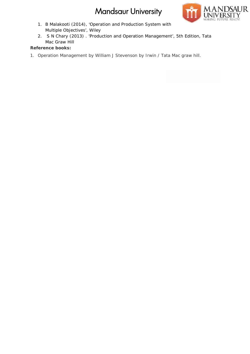![](_page_10_Picture_1.jpeg)

- 1. B Malakooti (2014), 'Operation and Production System with Multiple Objectives', Wiley
- 2. S N Chary (2013). 'Production and Operation Management', 5th Edition, Tata Mac Graw Hill

**Reference books:**

1. Operation Management by William J Stevenson by Irwin / Tata Mac graw hill.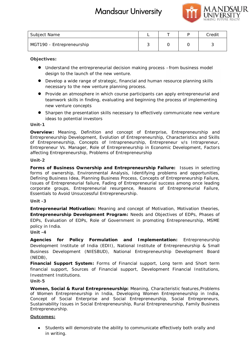![](_page_11_Picture_1.jpeg)

| Subject Name              |  | Credit |
|---------------------------|--|--------|
| MGT190 - Entrepreneurship |  |        |

**Objectives:**

Understand the entrepreneurial decision making process –from business model design to the launch of the new venture.

Develop a wide range of strategic, financial and human resource planning skills necessary to the new venture planning process.

Provide an atmosphere in which course participants can apply entrepreneurial and teamwork skills in finding, evaluating and beginning the process of implementing new venture concepts

Sharpen the presentation skills necessary to effectively communicate new venture ideas to potential investors

#### **Unit-1**

*Overview:* Meaning, Definition and concept of Enterprise, Entrepreneurship and Entrepreneurship Development, Evolution of Entrepreneurship, Characteristics and Skills of Entrepreneurship, Concepts of Intrapreneurship, Entrepreneur v/s Intrapreneur, Entrepreneur Vs. Manager, Role of Entrepreneurship in Economic Development, Factors affecting Entrepreneurship, Problems of Entrepreneurship Develop a wide range of strategic, financial and human resource planning skills<br>necessary to the new venture planning process.<br>Provide an atmosphere in which course participants can apply entrepreneurial  $i$ <br>teamwork skill

#### **Unit-2**

*Forms of Business Ownership and Entrepreneurship Failure:* Issues in selecting *of Business*  forms of ownership, Environmental Analysis, Identifying problems and opportunities, Defining Business Idea, Planning Business Process, Concepts of Entrepreneurship Failure, Issues of Entrepreneurial failure, Fading of Entrepreneurial success among once leading forms of ownership, Environmental Analysis, Identifying problems and opportunities,<br>Defining Business Idea, Planning Business Process, Concepts of Entrepreneurship Failure,<br>Issues of Entrepreneurial failure, Fading of Entr Essentials to Avoid Unsuccessful Entrepreneurship. Entrepreneurship<br> **Entrepreneurship**<br> **Entrepreneurship**<br> **Entrepreneurship**<br> **Entrepreneurship**<br> **Entrepreneurship**<br> **Entrepreneurship**<br> **Entrepreneurship**<br> **Entrepreneurship** in the numerical mediaton making process. Fro

#### **Unit -3**

*Entrepreneurial Motivation:* Meaning and concept of Motivation, Motivation theories, Entrepreneurial Motivation: Meaning and concept of Motivation, Motivation theories,<br>Entrepreneurship Development Program: Needs and Objectives of EDPs, Phases of EDPs, Evaluation of EDPs, Role of Government in promoting Entrepreneurship, MSME policy in India.

**Unit -4**

*Agencies for Policy Formulation and Implementation:* Entrepreneurship *Policy Formulation* Development Institute of India (EDII), National Institute of Entrepreneurship & Small Business Development (NIESBUD), National Entrepreneurship Development Board (NEDB),

*Financial Support System:* Forms of Financial support, Long term and Short term Financial Support System: Forms of Financial support, Long term and Short term<br>financial support, Sources of Financial support, Development Financial Institutions, Investment Institutions.

#### **Unit-5**

*Women, Social & Rural Entrepreneurship:* Meaning, Characteristic features,Problems of Women Entrepreneurship in India, Developing Women Entrepreneurship in India, Concept of Social Enterprise and Social Entrepreneurship, Social Entrepreneurs, Sustainability Issues in Social Entrepreneurship, Rural Entrepreneurship, Family Business Entrepreneurship.

#### **Outcomes:**

Students will demonstrate the ability to communicate effectively both orally and in writing.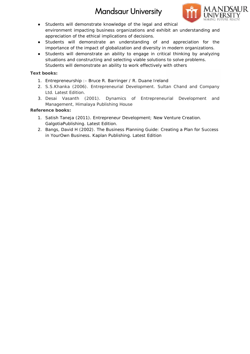![](_page_12_Picture_1.jpeg)

Students will demonstrate knowledge of the legal and ethical

environment impacting business organizations and exhibit an understanding and appreciation of the ethical implications of decisions.

Students will demonstrate an understanding of and appreciation for the importance of the impact of globalization and diversity in modern organizations. nstrate knowledge of the legal and ethical<br>ting business organizations and exhibit an understanding and<br>ethical implications of decisions.<br>nonstrate an understanding of and appreciation for the<br>mpact of globalization and d

Students will demonstrate an ability to engage in critical thinking by analyzing situations and constructing and selecting viable solutions to solve problems.

Students will demonstrate an ability to work effectively with others

**Text books: books:**

- 1. Entrepreneurship :- Bruce R. Barringer / R. Duane Ireland
- 2. S.S.Khanka (2006). Entrepreneurial Development. Sultan Chand and Company Ltd. Latest Edition.
- 3. Desai Vasanth (2001). Dynamics of Entrepreneurial Development and Management, Himalaya Publishing House House

- 1. Satish Taneja (2011). Entrepreneur Development; New Venture Creation. Satish Taneja (2011). Entrepreneur De<sup>.</sup><br>GalgotiaPublishing. Latest Edition.
- 2. Bangs, David H (2002). The Business Planning Guide: Creating a Plan for Success in YourOwn Business. Kaplan Publishing. Latest Edition